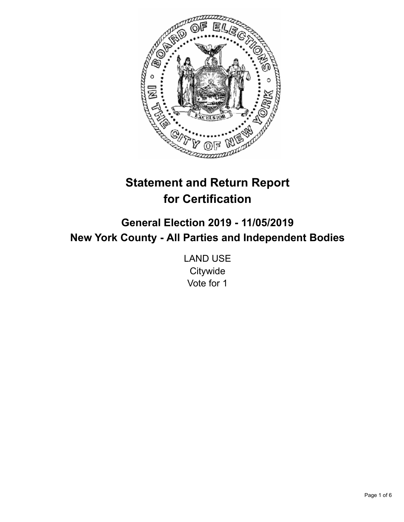

# **Statement and Return Report for Certification**

**General Election 2019 - 11/05/2019 New York County - All Parties and Independent Bodies**

> LAND USE **Citywide** Vote for 1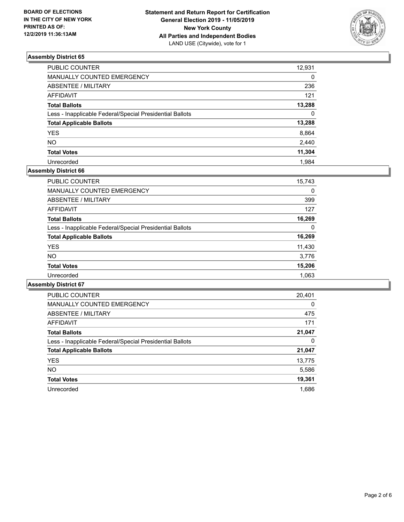

| <b>PUBLIC COUNTER</b>                                    | 12,931   |
|----------------------------------------------------------|----------|
| MANUALLY COUNTED EMERGENCY                               | $\Omega$ |
| <b>ABSENTEE / MILITARY</b>                               | 236      |
| <b>AFFIDAVIT</b>                                         | 121      |
| <b>Total Ballots</b>                                     | 13,288   |
| Less - Inapplicable Federal/Special Presidential Ballots | $\Omega$ |
| <b>Total Applicable Ballots</b>                          | 13,288   |
| <b>YES</b>                                               | 8,864    |
| <b>NO</b>                                                | 2,440    |
| <b>Total Votes</b>                                       | 11,304   |
| Unrecorded                                               | 1.984    |

# **Assembly District 66**

| <b>PUBLIC COUNTER</b>                                    | 15,743 |
|----------------------------------------------------------|--------|
| <b>MANUALLY COUNTED EMERGENCY</b>                        | 0      |
| ABSENTEE / MILITARY                                      | 399    |
| AFFIDAVIT                                                | 127    |
| <b>Total Ballots</b>                                     | 16,269 |
| Less - Inapplicable Federal/Special Presidential Ballots | 0      |
| <b>Total Applicable Ballots</b>                          | 16,269 |
| <b>YES</b>                                               | 11,430 |
| <b>NO</b>                                                | 3,776  |
| <b>Total Votes</b>                                       | 15,206 |
| Unrecorded                                               | 1,063  |

| <b>PUBLIC COUNTER</b>                                    | 20,401   |
|----------------------------------------------------------|----------|
| <b>MANUALLY COUNTED EMERGENCY</b>                        | $\Omega$ |
| ABSENTEE / MILITARY                                      | 475      |
| <b>AFFIDAVIT</b>                                         | 171      |
| <b>Total Ballots</b>                                     | 21,047   |
| Less - Inapplicable Federal/Special Presidential Ballots | 0        |
| <b>Total Applicable Ballots</b>                          | 21,047   |
| <b>YES</b>                                               | 13,775   |
| NO.                                                      | 5,586    |
| <b>Total Votes</b>                                       | 19,361   |
| Unrecorded                                               | 1.686    |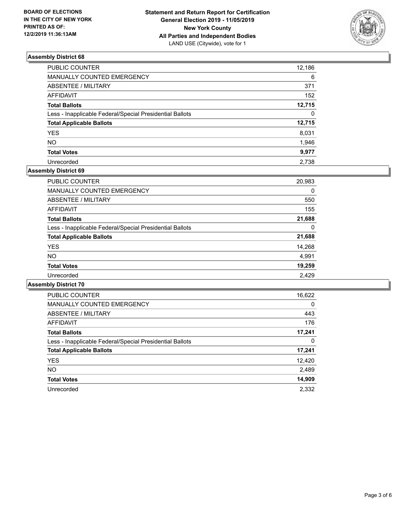

| PUBLIC COUNTER                                           | 12,186   |
|----------------------------------------------------------|----------|
| MANUALLY COUNTED EMERGENCY                               | 6        |
| <b>ABSENTEE / MILITARY</b>                               | 371      |
| <b>AFFIDAVIT</b>                                         | 152      |
| <b>Total Ballots</b>                                     | 12,715   |
| Less - Inapplicable Federal/Special Presidential Ballots | $\Omega$ |
| <b>Total Applicable Ballots</b>                          | 12,715   |
| <b>YES</b>                                               | 8,031    |
| <b>NO</b>                                                | 1,946    |
| <b>Total Votes</b>                                       | 9,977    |
| Unrecorded                                               | 2.738    |

# **Assembly District 69**

| <b>PUBLIC COUNTER</b>                                    | 20,983 |
|----------------------------------------------------------|--------|
| <b>MANUALLY COUNTED EMERGENCY</b>                        | 0      |
| ABSENTEE / MILITARY                                      | 550    |
| <b>AFFIDAVIT</b>                                         | 155    |
| <b>Total Ballots</b>                                     | 21,688 |
| Less - Inapplicable Federal/Special Presidential Ballots | 0      |
| <b>Total Applicable Ballots</b>                          | 21,688 |
| <b>YES</b>                                               | 14,268 |
| NO.                                                      | 4,991  |
| <b>Total Votes</b>                                       | 19,259 |
| Unrecorded                                               | 2.429  |

| <b>PUBLIC COUNTER</b>                                    | 16,622   |
|----------------------------------------------------------|----------|
| <b>MANUALLY COUNTED EMERGENCY</b>                        | $\Omega$ |
| ABSENTEE / MILITARY                                      | 443      |
| <b>AFFIDAVIT</b>                                         | 176      |
| <b>Total Ballots</b>                                     | 17,241   |
| Less - Inapplicable Federal/Special Presidential Ballots | 0        |
| <b>Total Applicable Ballots</b>                          | 17,241   |
| <b>YES</b>                                               | 12,420   |
| <b>NO</b>                                                | 2,489    |
| <b>Total Votes</b>                                       | 14,909   |
| Unrecorded                                               | 2,332    |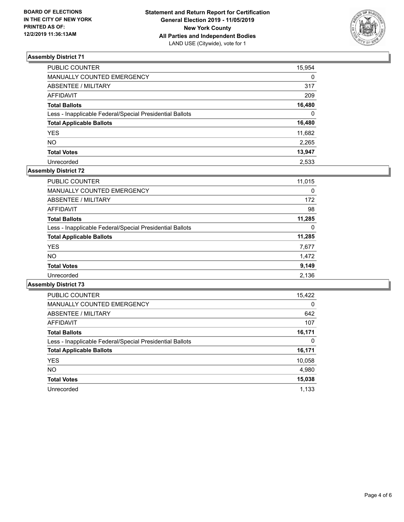

| PUBLIC COUNTER                                           | 15,954   |
|----------------------------------------------------------|----------|
| MANUALLY COUNTED EMERGENCY                               | $\Omega$ |
| ABSENTEE / MILITARY                                      | 317      |
| AFFIDAVIT                                                | 209      |
| <b>Total Ballots</b>                                     | 16,480   |
| Less - Inapplicable Federal/Special Presidential Ballots | $\Omega$ |
| <b>Total Applicable Ballots</b>                          | 16,480   |
| <b>YES</b>                                               | 11,682   |
| NΟ                                                       | 2,265    |
| <b>Total Votes</b>                                       | 13,947   |
| Unrecorded                                               | 2.533    |

# **Assembly District 72**

| <b>PUBLIC COUNTER</b>                                    | 11,015 |
|----------------------------------------------------------|--------|
| <b>MANUALLY COUNTED EMERGENCY</b>                        | 0      |
| ABSENTEE / MILITARY                                      | 172    |
| AFFIDAVIT                                                | 98     |
| <b>Total Ballots</b>                                     | 11,285 |
| Less - Inapplicable Federal/Special Presidential Ballots | 0      |
| <b>Total Applicable Ballots</b>                          | 11,285 |
| <b>YES</b>                                               | 7,677  |
| <b>NO</b>                                                | 1,472  |
| <b>Total Votes</b>                                       | 9,149  |
| Unrecorded                                               | 2,136  |

| <b>PUBLIC COUNTER</b>                                    | 15,422   |
|----------------------------------------------------------|----------|
| <b>MANUALLY COUNTED EMERGENCY</b>                        | $\Omega$ |
| ABSENTEE / MILITARY                                      | 642      |
| <b>AFFIDAVIT</b>                                         | 107      |
| <b>Total Ballots</b>                                     | 16,171   |
| Less - Inapplicable Federal/Special Presidential Ballots | 0        |
| <b>Total Applicable Ballots</b>                          | 16,171   |
| <b>YES</b>                                               | 10,058   |
| NO.                                                      | 4,980    |
| <b>Total Votes</b>                                       | 15,038   |
| Unrecorded                                               | 1.133    |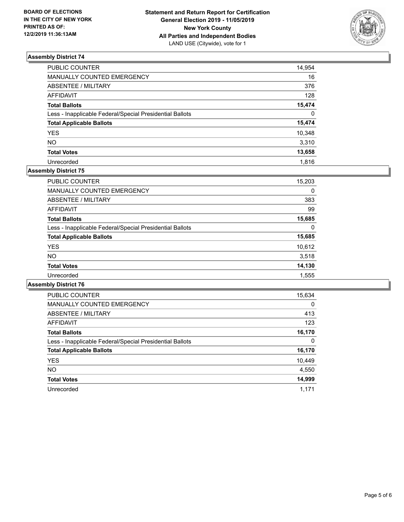

| <b>PUBLIC COUNTER</b>                                    | 14,954       |
|----------------------------------------------------------|--------------|
| MANUALLY COUNTED EMERGENCY                               | 16           |
| <b>ABSENTEE / MILITARY</b>                               | 376          |
| <b>AFFIDAVIT</b>                                         | 128          |
| <b>Total Ballots</b>                                     | 15,474       |
| Less - Inapplicable Federal/Special Presidential Ballots | $\mathbf{0}$ |
| <b>Total Applicable Ballots</b>                          | 15,474       |
| <b>YES</b>                                               | 10,348       |
| <b>NO</b>                                                | 3,310        |
| <b>Total Votes</b>                                       | 13,658       |
| Unrecorded                                               | 1.816        |

# **Assembly District 75**

| <b>PUBLIC COUNTER</b>                                    | 15,203 |
|----------------------------------------------------------|--------|
| <b>MANUALLY COUNTED EMERGENCY</b>                        | 0      |
| ABSENTEE / MILITARY                                      | 383    |
| <b>AFFIDAVIT</b>                                         | 99     |
| <b>Total Ballots</b>                                     | 15,685 |
| Less - Inapplicable Federal/Special Presidential Ballots | 0      |
| <b>Total Applicable Ballots</b>                          | 15,685 |
| <b>YES</b>                                               | 10,612 |
| <b>NO</b>                                                | 3,518  |
| <b>Total Votes</b>                                       | 14,130 |
| Unrecorded                                               | 1,555  |

| <b>PUBLIC COUNTER</b>                                    | 15,634   |
|----------------------------------------------------------|----------|
| <b>MANUALLY COUNTED EMERGENCY</b>                        | $\Omega$ |
| ABSENTEE / MILITARY                                      | 413      |
| <b>AFFIDAVIT</b>                                         | 123      |
| <b>Total Ballots</b>                                     | 16,170   |
| Less - Inapplicable Federal/Special Presidential Ballots | 0        |
| <b>Total Applicable Ballots</b>                          | 16,170   |
| <b>YES</b>                                               | 10,449   |
| NO.                                                      | 4,550    |
| <b>Total Votes</b>                                       | 14,999   |
| Unrecorded                                               | 1.171    |